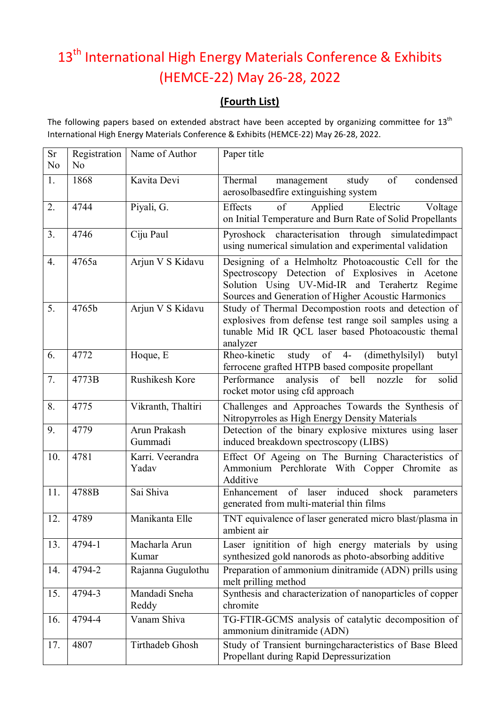## 13<sup>th</sup> International High Energy Materials Conference & Exhibits (HEMCE-22) May 26-28, 2022

## **(Fourth List)**

The following papers based on extended abstract have been accepted by organizing committee for 13<sup>th</sup> International High Energy Materials Conference & Exhibits (HEMCE-22) May 26-28, 2022.

| <b>Sr</b><br>No  | No     | Registration   Name of Author | Paper title                                                                                                                                                                                                    |
|------------------|--------|-------------------------------|----------------------------------------------------------------------------------------------------------------------------------------------------------------------------------------------------------------|
| 1.               | 1868   | Kavita Devi                   | of<br>Thermal<br>study<br>condensed<br>management<br>aerosolbasedfire extinguishing system                                                                                                                     |
| 2.               | 4744   | Piyali, G.                    | Effects<br>of<br>Applied<br>Electric<br>Voltage<br>on Initial Temperature and Burn Rate of Solid Propellants                                                                                                   |
| 3.               | 4746   | Ciju Paul                     | Pyroshock characterisation through simulatedimpact<br>using numerical simulation and experimental validation                                                                                                   |
| $\overline{4}$ . | 4765a  | Arjun V S Kidavu              | Designing of a Helmholtz Photoacoustic Cell for the<br>Spectroscopy Detection of Explosives in Acetone<br>Solution Using UV-Mid-IR and Terahertz Regime<br>Sources and Generation of Higher Acoustic Harmonics |
| 5.               | 4765b  | Arjun V S Kidavu              | Study of Thermal Decompostion roots and detection of<br>explosives from defense test range soil samples using a<br>tunable Mid IR QCL laser based Photoacoustic themal<br>analyzer                             |
| 6.               | 4772   | Hoque, E                      | $of$ 4-<br>(dimethylsilyl)<br>Rheo-kinetic<br>study<br>butyl<br>ferrocene grafted HTPB based composite propellant                                                                                              |
| 7.               | 4773B  | Rushikesh Kore                | $of$ <sup><math>-</math></sup><br>Performance<br>analysis<br>bell<br>solid<br>nozzle<br>for<br>rocket motor using cfd approach                                                                                 |
| 8.               | 4775   | Vikranth, Thaltiri            | Challenges and Approaches Towards the Synthesis of<br>Nitropyrroles as High Energy Density Materials                                                                                                           |
| 9.               | 4779   | Arun Prakash<br>Gummadi       | Detection of the binary explosive mixtures using laser<br>induced breakdown spectroscopy (LIBS)                                                                                                                |
| 10.              | 4781   | Karri. Veerandra<br>Yadav     | Effect Of Ageing on The Burning Characteristics of<br>Ammonium Perchlorate With Copper Chromite<br>as<br>Additive                                                                                              |
| 11.              | 4788B  | Sai Shiva                     | induced<br>of laser<br>Enhancement<br>shock parameters<br>generated from multi-material thin films                                                                                                             |
| 12.              | 4789   | Manikanta Elle                | TNT equivalence of laser generated micro blast/plasma in<br>ambient air                                                                                                                                        |
| 13.              | 4794-1 | Macharla Arun<br>Kumar        | Laser ignitition of high energy materials by using<br>synthesized gold nanorods as photo-absorbing additive                                                                                                    |
| 14.              | 4794-2 | Rajanna Gugulothu             | Preparation of ammonium dinitramide (ADN) prills using<br>melt prilling method                                                                                                                                 |
| 15.              | 4794-3 | Mandadi Sneha<br>Reddy        | Synthesis and characterization of nanoparticles of copper<br>chromite                                                                                                                                          |
| 16.              | 4794-4 | Vanam Shiva                   | TG-FTIR-GCMS analysis of catalytic decomposition of<br>ammonium dinitramide (ADN)                                                                                                                              |
| 17.              | 4807   | Tirthadeb Ghosh               | Study of Transient burningcharacteristics of Base Bleed<br>Propellant during Rapid Depressurization                                                                                                            |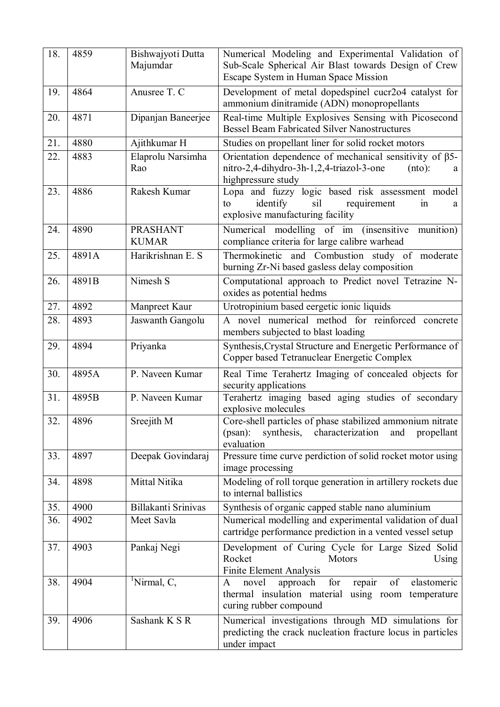| 18. | 4859  | Bishwajyoti Dutta<br>Majumdar   | Numerical Modeling and Experimental Validation of<br>Sub-Scale Spherical Air Blast towards Design of Crew<br>Escape System in Human Space Mission       |
|-----|-------|---------------------------------|---------------------------------------------------------------------------------------------------------------------------------------------------------|
| 19. | 4864  | Anusree T. C                    | Development of metal dopedspinel cucr2o4 catalyst for<br>ammonium dinitramide (ADN) monopropellants                                                     |
| 20. | 4871  | Dipanjan Baneerjee              | Real-time Multiple Explosives Sensing with Picosecond<br><b>Bessel Beam Fabricated Silver Nanostructures</b>                                            |
| 21. | 4880  | Ajithkumar H                    | Studies on propellant liner for solid rocket motors                                                                                                     |
| 22. | 4883  | Elaprolu Narsimha<br>Rao        | Orientation dependence of mechanical sensitivity of ß5-<br>nitro-2,4-dihydro-3h-1,2,4-triazol-3-one<br>(nto):<br>a<br>highpressure study                |
| 23. | 4886  | Rakesh Kumar                    | Lopa and fuzzy logic based risk assessment model<br>identify<br>requirement<br>to<br>sil<br>in<br>a<br>explosive manufacturing facility                 |
| 24. | 4890  | <b>PRASHANT</b><br><b>KUMAR</b> | Numerical modelling of im (insensitive<br>munition)<br>compliance criteria for large calibre warhead                                                    |
| 25. | 4891A | Harikrishnan E. S               | Thermokinetic and Combustion study of moderate<br>burning Zr-Ni based gasless delay composition                                                         |
| 26. | 4891B | Nimesh S                        | Computational approach to Predict novel Tetrazine N-<br>oxides as potential hedms                                                                       |
| 27. | 4892  | Manpreet Kaur                   | Urotropinium based eergetic ionic liquids                                                                                                               |
| 28. | 4893  | Jaswanth Gangolu                | A novel numerical method for reinforced concrete<br>members subjected to blast loading                                                                  |
| 29. | 4894  | Priyanka                        | Synthesis, Crystal Structure and Energetic Performance of<br>Copper based Tetranuclear Energetic Complex                                                |
| 30. | 4895A | P. Naveen Kumar                 | Real Time Terahertz Imaging of concealed objects for<br>security applications                                                                           |
| 31. | 4895B | P. Naveen Kumar                 | Terahertz imaging based aging studies of secondary<br>explosive molecules                                                                               |
| 32. | 4896  | Sreejith M                      | Core-shell particles of phase stabilized ammonium nitrate<br>$(psan)$ :<br>synthesis,<br>characterization<br>and<br>propellant<br>evaluation            |
| 33. | 4897  | Deepak Govindaraj               | Pressure time curve perdiction of solid rocket motor using<br>image processing                                                                          |
| 34. | 4898  | Mittal Nitika                   | Modeling of roll torque generation in artillery rockets due<br>to internal ballistics                                                                   |
| 35. | 4900  | Billakanti Srinivas             | Synthesis of organic capped stable nano aluminium                                                                                                       |
| 36. | 4902  | Meet Savla                      | Numerical modelling and experimental validation of dual<br>cartridge performance prediction in a vented vessel setup                                    |
| 37. | 4903  | Pankaj Negi                     | Development of Curing Cycle for Large Sized Solid<br>Rocket<br>Motors<br>Using<br><b>Finite Element Analysis</b>                                        |
| 38. | 4904  | <sup>1</sup> Nirmal, C,         | for<br>of<br>repair<br>novel<br>approach<br>elastomeric<br>$\mathbf{A}$<br>thermal insulation material using room temperature<br>curing rubber compound |
| 39. | 4906  | Sashank K S R                   | Numerical investigations through MD simulations for<br>predicting the crack nucleation fracture locus in particles<br>under impact                      |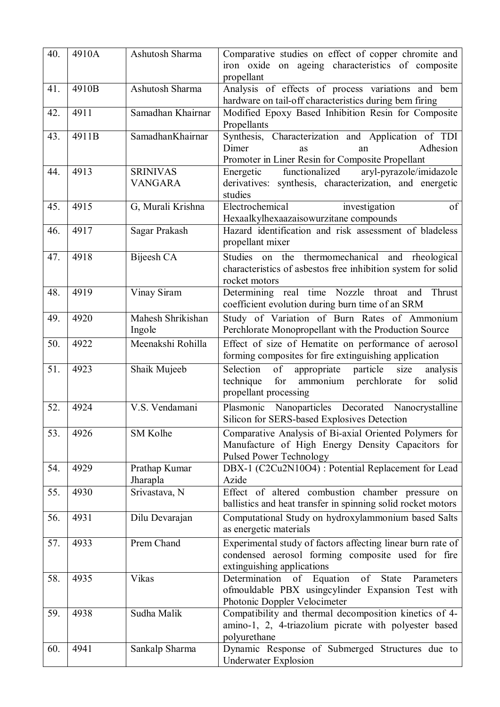| 40. | 4910A | Ashutosh Sharma                   | Comparative studies on effect of copper chromite and<br>iron oxide on ageing characteristics of composite<br>propellant                             |
|-----|-------|-----------------------------------|-----------------------------------------------------------------------------------------------------------------------------------------------------|
| 41. | 4910B | Ashutosh Sharma                   | Analysis of effects of process variations and bem<br>hardware on tail-off characteristics during bem firing                                         |
| 42. | 4911  | Samadhan Khairnar                 | Modified Epoxy Based Inhibition Resin for Composite<br>Propellants                                                                                  |
| 43. | 4911B | SamadhanKhairnar                  | Synthesis, Characterization and Application of TDI<br>Dimer<br>Adhesion<br><b>as</b><br>an<br>Promoter in Liner Resin for Composite Propellant      |
| 44. | 4913  | <b>SRINIVAS</b><br><b>VANGARA</b> | aryl-pyrazole/imidazole<br>functionalized<br>Energetic<br>derivatives: synthesis, characterization, and energetic<br>studies                        |
| 45. | 4915  | G, Murali Krishna                 | Electrochemical<br>investigation<br>of<br>Hexaalkylhexaazaisowurzitane compounds                                                                    |
| 46. | 4917  | Sagar Prakash                     | Hazard identification and risk assessment of bladeless<br>propellant mixer                                                                          |
| 47. | 4918  | Bijeesh CA                        | Studies on the thermomechanical and rheological<br>characteristics of asbestos free inhibition system for solid<br>rocket motors                    |
| 48. | 4919  | Vinay Siram                       | Determining real time Nozzle throat and<br>Thrust<br>coefficient evolution during burn time of an SRM                                               |
| 49. | 4920  | Mahesh Shrikishan<br>Ingole       | Study of Variation of Burn Rates of Ammonium<br>Perchlorate Monopropellant with the Production Source                                               |
| 50. | 4922  | Meenakshi Rohilla                 | Effect of size of Hematite on performance of aerosol<br>forming composites for fire extinguishing application                                       |
| 51. | 4923  | Shaik Mujeeb                      | of<br>Selection<br>particle<br>size<br>appropriate<br>analysis<br>for<br>ammonium perchlorate<br>technique<br>for<br>solid<br>propellant processing |
| 52. | 4924  | V.S. Vendamani                    | Plasmonic Nanoparticles Decorated Nanocrystalline<br>Silicon for SERS-based Explosives Detection                                                    |
| 53. | 4926  | SM Kolhe                          | Comparative Analysis of Bi-axial Oriented Polymers for<br>Manufacture of High Energy Density Capacitors for<br><b>Pulsed Power Technology</b>       |
| 54. | 4929  | Prathap Kumar<br>Jharapla         | DBX-1 (C2Cu2N10O4) : Potential Replacement for Lead<br>Azide                                                                                        |
| 55. | 4930  | Srivastava, N                     | Effect of altered combustion chamber pressure on<br>ballistics and heat transfer in spinning solid rocket motors                                    |
| 56. | 4931  | Dilu Devarajan                    | Computational Study on hydroxylammonium based Salts<br>as energetic materials                                                                       |
| 57. | 4933  | Prem Chand                        | Experimental study of factors affecting linear burn rate of<br>condensed aerosol forming composite used for fire<br>extinguishing applications      |
| 58. | 4935  | Vikas                             | Determination of Equation of State Parameters<br>ofmouldable PBX usingcylinder Expansion Test with<br>Photonic Doppler Velocimeter                  |
| 59. | 4938  | Sudha Malik                       | Compatibility and thermal decomposition kinetics of 4-<br>amino-1, 2, 4-triazolium picrate with polyester based<br>polyurethane                     |
| 60. | 4941  | Sankalp Sharma                    | Dynamic Response of Submerged Structures due to<br>Underwater Explosion                                                                             |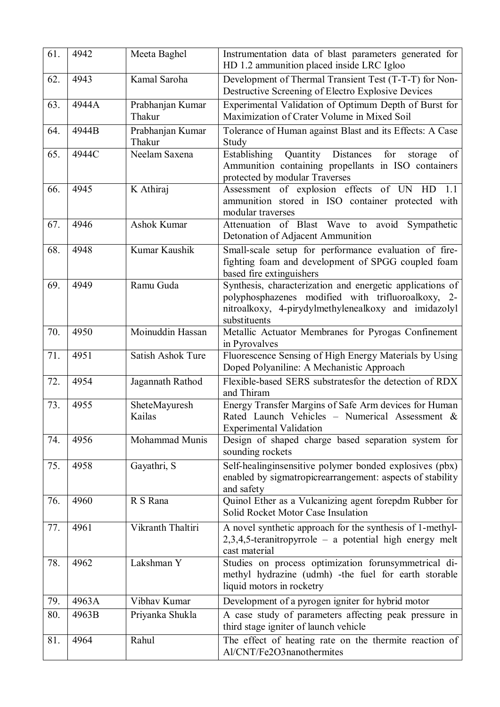| 61. | 4942  | Meeta Baghel               | Instrumentation data of blast parameters generated for<br>HD 1.2 ammunition placed inside LRC Igloo                                                                                     |
|-----|-------|----------------------------|-----------------------------------------------------------------------------------------------------------------------------------------------------------------------------------------|
| 62. | 4943  | Kamal Saroha               | Development of Thermal Transient Test (T-T-T) for Non-<br>Destructive Screening of Electro Explosive Devices                                                                            |
| 63. | 4944A | Prabhanjan Kumar<br>Thakur | Experimental Validation of Optimum Depth of Burst for<br>Maximization of Crater Volume in Mixed Soil                                                                                    |
| 64. | 4944B | Prabhanjan Kumar<br>Thakur | Tolerance of Human against Blast and its Effects: A Case<br>Study                                                                                                                       |
| 65. | 4944C | Neelam Saxena              | Establishing<br>Quantity Distances<br>for<br>of<br>storage<br>Ammunition containing propellants in ISO containers<br>protected by modular Traverses                                     |
| 66. | 4945  | K Athiraj                  | Assessment of explosion effects of UN<br>HD<br>1.1<br>ammunition stored in ISO container protected with<br>modular traverses                                                            |
| 67. | 4946  | Ashok Kumar                | Attenuation of Blast Wave to avoid Sympathetic<br>Detonation of Adjacent Ammunition                                                                                                     |
| 68. | 4948  | Kumar Kaushik              | Small-scale setup for performance evaluation of fire-<br>fighting foam and development of SPGG coupled foam<br>based fire extinguishers                                                 |
| 69. | 4949  | Ramu Guda                  | Synthesis, characterization and energetic applications of<br>polyphosphazenes modified with trifluoroalkoxy, 2-<br>nitroalkoxy, 4-pirydylmethylenealkoxy and imidazolyl<br>substituents |
| 70. | 4950  | Moinuddin Hassan           | Metallic Actuator Membranes for Pyrogas Confinement<br>in Pyrovalves                                                                                                                    |
| 71. | 4951  | Satish Ashok Ture          | Fluorescence Sensing of High Energy Materials by Using<br>Doped Polyaniline: A Mechanistic Approach                                                                                     |
| 72. | 4954  | Jagannath Rathod           | Flexible-based SERS substratesfor the detection of RDX<br>and Thiram                                                                                                                    |
| 73. | 4955  | SheteMayuresh<br>Kailas    | Energy Transfer Margins of Safe Arm devices for Human<br>Rated Launch Vehicles - Numerical Assessment &<br><b>Experimental Validation</b>                                               |
| 74. | 4956  | Mohammad Munis             | Design of shaped charge based separation system for<br>sounding rockets                                                                                                                 |
| 75. | 4958  | Gayathri, S                | Self-healinginsensitive polymer bonded explosives (pbx)<br>enabled by sigmatropicrearrangement: aspects of stability<br>and safety                                                      |
| 76. | 4960  | R S Rana                   | Quinol Ether as a Vulcanizing agent forepdm Rubber for<br>Solid Rocket Motor Case Insulation                                                                                            |
| 77. | 4961  | Vikranth Thaltiri          | A novel synthetic approach for the synthesis of 1-methyl-<br>$2,3,4,5$ -teranitropyrrole – a potential high energy melt<br>cast material                                                |
| 78. | 4962  | Lakshman Y                 | Studies on process optimization forunsymmetrical di-<br>methyl hydrazine (udmh) -the fuel for earth storable<br>liquid motors in rocketry                                               |
| 79. | 4963A | Vibhav Kumar               | Development of a pyrogen igniter for hybrid motor                                                                                                                                       |
| 80. | 4963B | Priyanka Shukla            | A case study of parameters affecting peak pressure in<br>third stage igniter of launch vehicle                                                                                          |
| 81. | 4964  | Rahul                      | The effect of heating rate on the thermite reaction of<br>Al/CNT/Fe2O3nanothermites                                                                                                     |